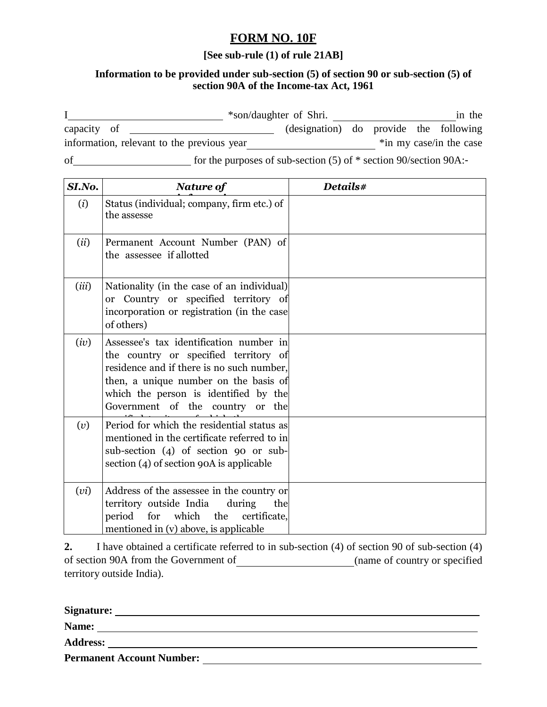## **FORM NO. 10F**

## **[See sub-rule (1) of rule 21AB]**

## **Information to be provided under sub-section (5) of section 90 or sub-section (5) of section 90A of the Income-tax Act, 1961**

|                                            |                                                                       | *son/daughter of Shri.                 |                         |  |  | in the |
|--------------------------------------------|-----------------------------------------------------------------------|----------------------------------------|-------------------------|--|--|--------|
| capacity of                                |                                                                       | (designation) do provide the following |                         |  |  |        |
| information, relevant to the previous year |                                                                       |                                        | *in my case/in the case |  |  |        |
| of                                         | for the purposes of sub-section $(5)$ of $*$ section 90/section 90A:- |                                        |                         |  |  |        |

| SI.No. | <b>Nature of</b>                                                                                                                                                                                                                                    | Details# |  |  |  |
|--------|-----------------------------------------------------------------------------------------------------------------------------------------------------------------------------------------------------------------------------------------------------|----------|--|--|--|
| (i)    | Status (individual; company, firm etc.) of<br>the assesse                                                                                                                                                                                           |          |  |  |  |
| (ii)   | Permanent Account Number (PAN) of<br>the assessee if allotted                                                                                                                                                                                       |          |  |  |  |
| (iii)  | Nationality (in the case of an individual)<br>or Country or specified territory of<br>incorporation or registration (in the case<br>of others)                                                                                                      |          |  |  |  |
| (iv)   | Assessee's tax identification number in<br>the country or specified territory of<br>residence and if there is no such number,<br>then, a unique number on the basis of<br>which the person is identified by the<br>Government of the country or the |          |  |  |  |
| (v)    | Period for which the residential status as<br>mentioned in the certificate referred to in<br>sub-section (4) of section 90 or sub-<br>section (4) of section 90A is applicable                                                                      |          |  |  |  |
| (vi)   | Address of the assessee in the country or<br>territory outside India<br>during<br>the<br>period<br>which<br>certificate,<br>for<br>the<br>mentioned in (v) above, is applicable                                                                     |          |  |  |  |

**2.** I have obtained a certificate referred to in sub-section (4) of section 90 of sub-section (4) of section 90A from the Government of (name of country or specified territory outside India).

| Signature:      |                                  |  |  |
|-----------------|----------------------------------|--|--|
| Name:           |                                  |  |  |
| <b>Address:</b> |                                  |  |  |
|                 | <b>Permanent Account Number:</b> |  |  |